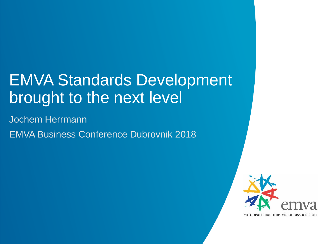## EMVA Standards Development brought to the next level

Jochem Herrmann EMVA Business Conference Dubrovnik 2018

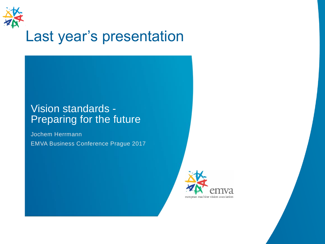

#### Last year's presentation

#### Vision standards - Preparing for the future

Jochem Herrmann EMVA Business Conference Prague 2017

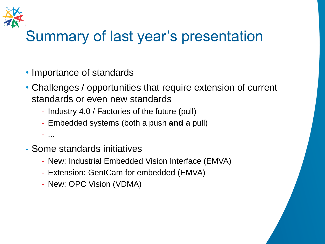

## Summary of last year's presentation

- Importance of standards
- Challenges / opportunities that require extension of current standards or even new standards
	- Industry 4.0 / Factories of the future (pull)
	- Embedded systems (both a push **and** a pull)

- ...

- Some standards initiatives
	- New: Industrial Embedded Vision Interface (EMVA)
	- Extension: GenICam for embedded (EMVA)
	- New: OPC Vision (VDMA)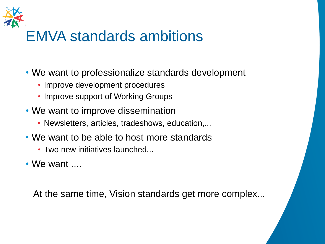

### EMVA standards ambitions

- We want to professionalize standards development
	- Improve development procedures
	- Improve support of Working Groups
- We want to improve dissemination
	- Newsletters, articles, tradeshows, education,...
- We want to be able to host more standards
	- Two new initiatives launched...

 $\bullet$  We want  $\ldots$ 

At the same time, Vision standards get more complex...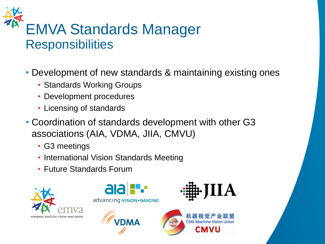# EMVA Standards Manager **Responsibilities**

- Development of new standards & maintaining existing ones
	- Standards Working Groups
	- Development procedures
	- Licensing of standards
- Coordination of standards development with other G3 associations (AIA, VDMA, JIIA, CMVU)
	- G3 meetings
	- International Vision Standards Meeting
	- Future Standards Forum



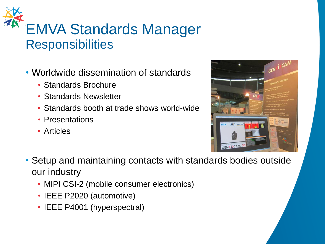# EMVA Standards Manager **Responsibilities**

- Worldwide dissemination of standards
	- Standards Brochure
	- Standards Newsletter
	- Standards booth at trade shows world-wide
	- Presentations
	- Articles



- Setup and maintaining contacts with standards bodies outside our industry
	- MIPI CSI-2 (mobile consumer electronics)
	- IEEE P2020 (automotive)
	- IEEE P4001 (hyperspectral)